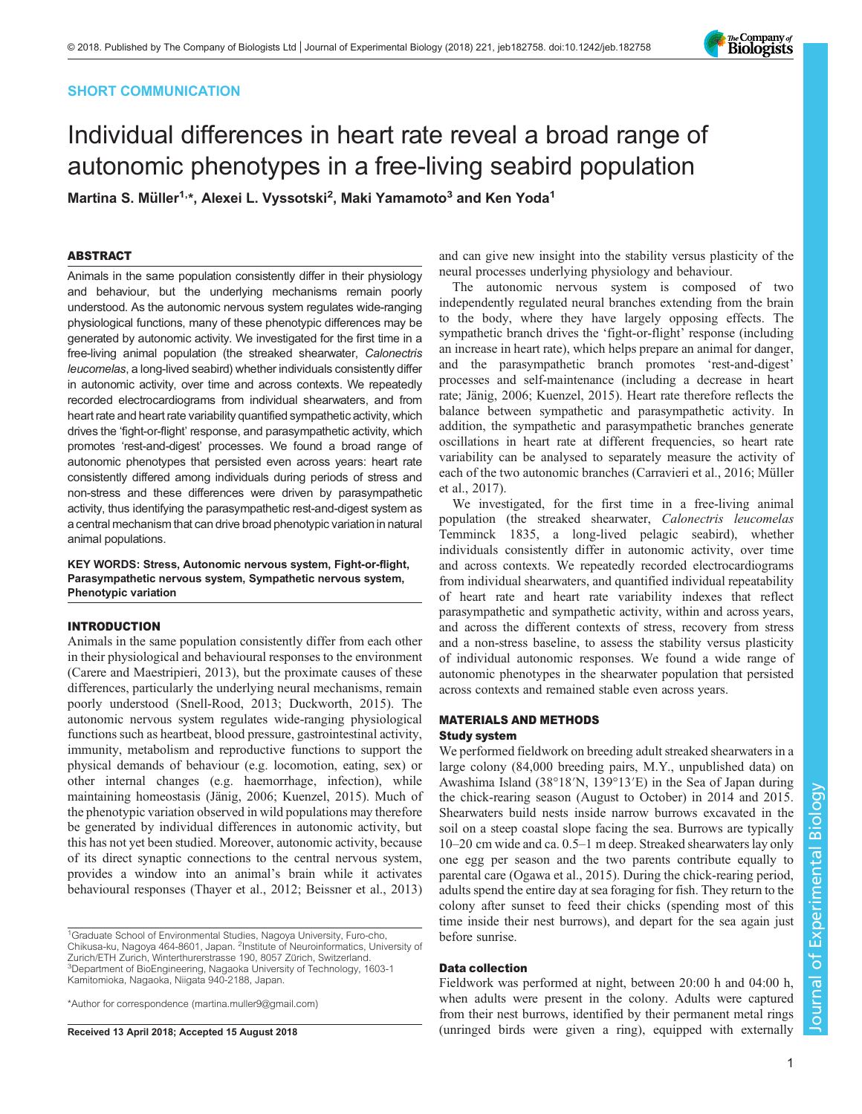# SHORT COMMUNICATION

# Individual differences in heart rate reveal a broad range of autonomic phenotypes in a free-living seabird population

Martina S. Müller<sup>1,</sup>\*, Alexei L. Vyssotski<sup>2</sup>, Maki Yamamoto<sup>3</sup> and Ken Yoda<sup>1</sup>

# ABSTRACT

Animals in the same population consistently differ in their physiology and behaviour, but the underlying mechanisms remain poorly understood. As the autonomic nervous system regulates wide-ranging physiological functions, many of these phenotypic differences may be generated by autonomic activity. We investigated for the first time in a free-living animal population (the streaked shearwater, Calonectris leucomelas, a long-lived seabird) whether individuals consistently differ in autonomic activity, over time and across contexts. We repeatedly recorded electrocardiograms from individual shearwaters, and from heart rate and heart rate variability quantified sympathetic activity, which drives the 'fight-or-flight' response, and parasympathetic activity, which promotes 'rest-and-digest' processes. We found a broad range of autonomic phenotypes that persisted even across years: heart rate consistently differed among individuals during periods of stress and non-stress and these differences were driven by parasympathetic activity, thus identifying the parasympathetic rest-and-digest system as a central mechanism that can drive broad phenotypic variation in natural animal populations.

KEY WORDS: Stress, Autonomic nervous system, Fight-or-flight, Parasympathetic nervous system, Sympathetic nervous system, Phenotypic variation

# INTRODUCTION

Animals in the same population consistently differ from each other in their physiological and behavioural responses to the environment [\(Carere and Maestripieri, 2013\)](#page-5-0), but the proximate causes of these differences, particularly the underlying neural mechanisms, remain poorly understood [\(Snell-Rood, 2013; Duckworth, 2015\)](#page-5-0). The autonomic nervous system regulates wide-ranging physiological functions such as heartbeat, blood pressure, gastrointestinal activity, immunity, metabolism and reproductive functions to support the physical demands of behaviour (e.g. locomotion, eating, sex) or other internal changes (e.g. haemorrhage, infection), while maintaining homeostasis [\(Jänig, 2006](#page-5-0); [Kuenzel, 2015](#page-5-0)). Much of the phenotypic variation observed in wild populations may therefore be generated by individual differences in autonomic activity, but this has not yet been studied. Moreover, autonomic activity, because of its direct synaptic connections to the central nervous system, provides a window into an animal's brain while it activates behavioural responses [\(Thayer et al., 2012; Beissner et al., 2013\)](#page-5-0)

<sup>1</sup>Graduate School of Environmental Studies, Nagoya University, Furo-cho, Chikusa-ku, Nagoya 464-8601, Japan. <sup>2</sup>Institute of Neuroinformatics, University of Zurich/ETH Zurich, Winterthurerstrasse 190, 8057 Zürich, Switzerland Department of BioEngineering, Nagaoka University of Technology, 1603-1 Kamitomioka, Nagaoka, Niigata 940-2188, Japan.

\*Author for correspondence [\(martina.muller9@gmail.com\)](mailto:martina.muller9@gmail.com)

and can give new insight into the stability versus plasticity of the neural processes underlying physiology and behaviour.

The autonomic nervous system is composed of two independently regulated neural branches extending from the brain to the body, where they have largely opposing effects. The sympathetic branch drives the 'fight-or-flight' response (including an increase in heart rate), which helps prepare an animal for danger, and the parasympathetic branch promotes 'rest-and-digest' processes and self-maintenance (including a decrease in heart rate; [Jänig, 2006; Kuenzel, 2015](#page-5-0)). Heart rate therefore reflects the balance between sympathetic and parasympathetic activity. In addition, the sympathetic and parasympathetic branches generate oscillations in heart rate at different frequencies, so heart rate variability can be analysed to separately measure the activity of each of the two autonomic branches [\(Carravieri et al., 2016; Müller](#page-5-0) [et al., 2017\)](#page-5-0).

We investigated, for the first time in a free-living animal population (the streaked shearwater, Calonectris leucomelas Temminck 1835, a long-lived pelagic seabird), whether individuals consistently differ in autonomic activity, over time and across contexts. We repeatedly recorded electrocardiograms from individual shearwaters, and quantified individual repeatability of heart rate and heart rate variability indexes that reflect parasympathetic and sympathetic activity, within and across years, and across the different contexts of stress, recovery from stress and a non-stress baseline, to assess the stability versus plasticity of individual autonomic responses. We found a wide range of autonomic phenotypes in the shearwater population that persisted across contexts and remained stable even across years.

# MATERIALS AND METHODS

## Study system

We performed fieldwork on breeding adult streaked shearwaters in a large colony (84,000 breeding pairs, M.Y., unpublished data) on Awashima Island (38°18′N, 139°13′E) in the Sea of Japan during the chick-rearing season (August to October) in 2014 and 2015. Shearwaters build nests inside narrow burrows excavated in the soil on a steep coastal slope facing the sea. Burrows are typically 10–20 cm wide and ca. 0.5–1 m deep. Streaked shearwaters lay only one egg per season and the two parents contribute equally to parental care ([Ogawa et al., 2015](#page-5-0)). During the chick-rearing period, adults spend the entire day at sea foraging for fish. They return to the colony after sunset to feed their chicks (spending most of this time inside their nest burrows), and depart for the sea again just before sunrise.

## Data collection

Fieldwork was performed at night, between 20:00 h and 04:00 h, when adults were present in the colony. Adults were captured from their nest burrows, identified by their permanent metal rings Received 13 April 2018; Accepted 15 August 2018 (unringed birds were given a ring), equipped with externally

Journal of Experimental Biology

Journal of Experimental

Biology

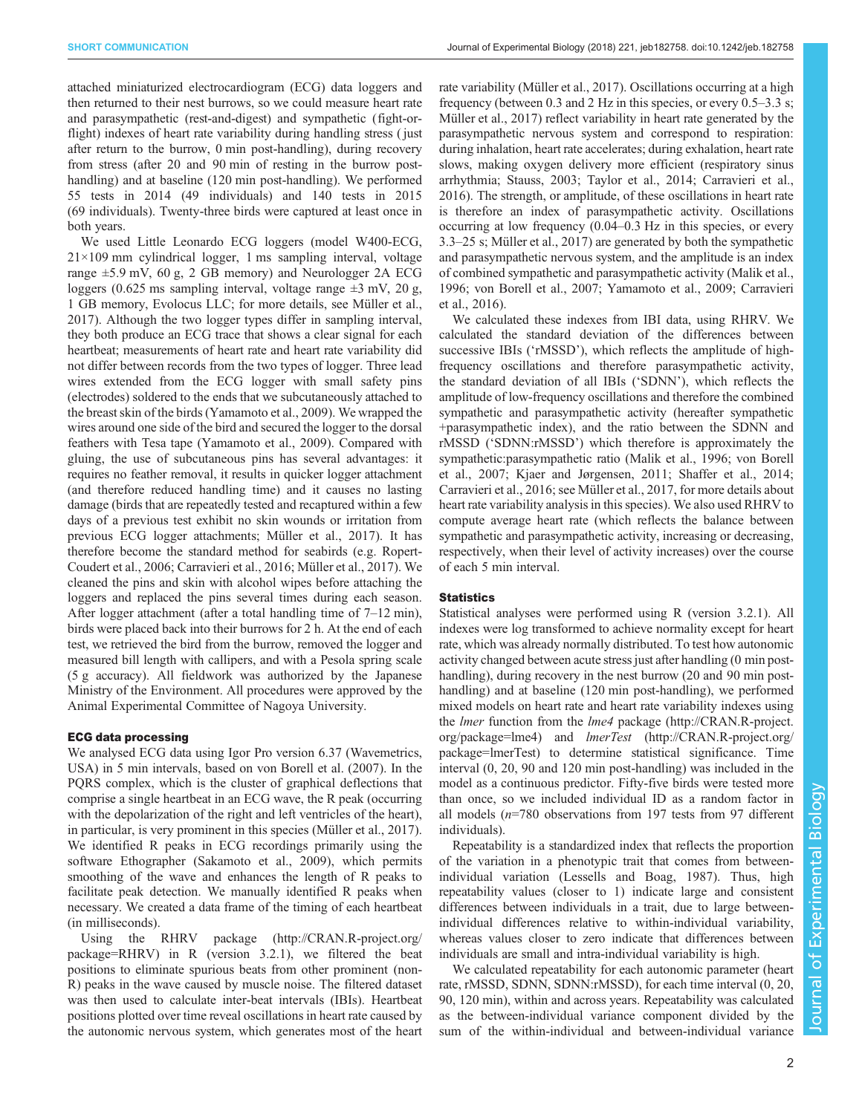attached miniaturized electrocardiogram (ECG) data loggers and then returned to their nest burrows, so we could measure heart rate and parasympathetic (rest-and-digest) and sympathetic (fight-orflight) indexes of heart rate variability during handling stress ( just after return to the burrow, 0 min post-handling), during recovery from stress (after 20 and 90 min of resting in the burrow posthandling) and at baseline (120 min post-handling). We performed 55 tests in 2014 (49 individuals) and 140 tests in 2015 (69 individuals). Twenty-three birds were captured at least once in both years.

We used Little Leonardo ECG loggers (model W400-ECG, 21×109 mm cylindrical logger, 1 ms sampling interval, voltage range ±5.9 mV, 60 g, 2 GB memory) and Neurologger 2A ECG loggers (0.625 ms sampling interval, voltage range  $\pm 3$  mV, 20 g, 1 GB memory, Evolocus LLC; for more details, see [Müller et al.,](#page-5-0) [2017](#page-5-0)). Although the two logger types differ in sampling interval, they both produce an ECG trace that shows a clear signal for each heartbeat; measurements of heart rate and heart rate variability did not differ between records from the two types of logger. Three lead wires extended from the ECG logger with small safety pins (electrodes) soldered to the ends that we subcutaneously attached to the breast skin of the birds ([Yamamoto et al., 2009](#page-5-0)). We wrapped the wires around one side of the bird and secured the logger to the dorsal feathers with Tesa tape [\(Yamamoto et al., 2009](#page-5-0)). Compared with gluing, the use of subcutaneous pins has several advantages: it requires no feather removal, it results in quicker logger attachment (and therefore reduced handling time) and it causes no lasting damage (birds that are repeatedly tested and recaptured within a few days of a previous test exhibit no skin wounds or irritation from previous ECG logger attachments; [Müller et al., 2017\)](#page-5-0). It has therefore become the standard method for seabirds (e.g. [Ropert-](#page-5-0)[Coudert et al., 2006](#page-5-0); [Carravieri et al., 2016; Müller et al., 2017\)](#page-5-0). We cleaned the pins and skin with alcohol wipes before attaching the loggers and replaced the pins several times during each season. After logger attachment (after a total handling time of 7–12 min), birds were placed back into their burrows for 2 h. At the end of each test, we retrieved the bird from the burrow, removed the logger and measured bill length with callipers, and with a Pesola spring scale (5 g accuracy). All fieldwork was authorized by the Japanese Ministry of the Environment. All procedures were approved by the Animal Experimental Committee of Nagoya University.

### ECG data processing

We analysed ECG data using Igor Pro version 6.37 (Wavemetrics, USA) in 5 min intervals, based on [von Borell et al. \(2007\).](#page-5-0) In the PQRS complex, which is the cluster of graphical deflections that comprise a single heartbeat in an ECG wave, the R peak (occurring with the depolarization of the right and left ventricles of the heart), in particular, is very prominent in this species ([Müller et al., 2017\)](#page-5-0). We identified R peaks in ECG recordings primarily using the software Ethographer [\(Sakamoto et al., 2009](#page-5-0)), which permits smoothing of the wave and enhances the length of R peaks to facilitate peak detection. We manually identified R peaks when necessary. We created a data frame of the timing of each heartbeat (in milliseconds).

Using the RHRV package ([http://CRAN.R-project.org/](http://CRAN.R-project.org/package=RHRV) [package=RHRV](http://CRAN.R-project.org/package=RHRV)) in R (version 3.2.1), we filtered the beat positions to eliminate spurious beats from other prominent (non-R) peaks in the wave caused by muscle noise. The filtered dataset was then used to calculate inter-beat intervals (IBIs). Heartbeat positions plotted over time reveal oscillations in heart rate caused by the autonomic nervous system, which generates most of the heart

rate variability [\(Müller et al., 2017](#page-5-0)). Oscillations occurring at a high frequency (between 0.3 and 2 Hz in this species, or every 0.5–3.3 s; [Müller et al., 2017](#page-5-0)) reflect variability in heart rate generated by the parasympathetic nervous system and correspond to respiration: during inhalation, heart rate accelerates; during exhalation, heart rate slows, making oxygen delivery more efficient (respiratory sinus arrhythmia; [Stauss, 2003](#page-5-0); [Taylor et al., 2014](#page-5-0); [Carravieri et al.,](#page-5-0) [2016\)](#page-5-0). The strength, or amplitude, of these oscillations in heart rate is therefore an index of parasympathetic activity. Oscillations occurring at low frequency (0.04–0.3 Hz in this species, or every 3.3–25 s; [Müller et al., 2017\)](#page-5-0) are generated by both the sympathetic and parasympathetic nervous system, and the amplitude is an index of combined sympathetic and parasympathetic activity ([Malik et al.,](#page-5-0) [1996; von Borell et al., 2007](#page-5-0); [Yamamoto et al., 2009](#page-5-0); [Carravieri](#page-5-0) [et al., 2016\)](#page-5-0).

We calculated these indexes from IBI data, using RHRV. We calculated the standard deviation of the differences between successive IBIs ('rMSSD'), which reflects the amplitude of highfrequency oscillations and therefore parasympathetic activity, the standard deviation of all IBIs ('SDNN'), which reflects the amplitude of low-frequency oscillations and therefore the combined sympathetic and parasympathetic activity (hereafter sympathetic +parasympathetic index), and the ratio between the SDNN and rMSSD ('SDNN:rMSSD') which therefore is approximately the sympathetic:parasympathetic ratio [\(Malik et al., 1996](#page-5-0); [von Borell](#page-5-0) [et al., 2007](#page-5-0); [Kjaer and Jørgensen, 2011; Shaffer et al., 2014](#page-5-0); [Carravieri et al., 2016](#page-5-0); see [Müller et al., 2017,](#page-5-0) for more details about heart rate variability analysis in this species). We also used RHRV to compute average heart rate (which reflects the balance between sympathetic and parasympathetic activity, increasing or decreasing, respectively, when their level of activity increases) over the course of each 5 min interval.

## **Statistics**

Statistical analyses were performed using R (version 3.2.1). All indexes were log transformed to achieve normality except for heart rate, which was already normally distributed. To test how autonomic activity changed between acute stress just after handling (0 min posthandling), during recovery in the nest burrow (20 and 90 min posthandling) and at baseline (120 min post-handling), we performed mixed models on heart rate and heart rate variability indexes using the lmer function from the lme4 package [\(http://CRAN.R-project.](http://CRAN.R-project.org/package=lme4) [org/package=lme4\)](http://CRAN.R-project.org/package=lme4) and lmerTest ([http://CRAN.R-project.org/](http://CRAN.R-project.org/package=lmerTest) [package=lmerTest\)](http://CRAN.R-project.org/package=lmerTest) to determine statistical significance. Time interval (0, 20, 90 and 120 min post-handling) was included in the model as a continuous predictor. Fifty-five birds were tested more than once, so we included individual ID as a random factor in all models  $(n=780)$  observations from 197 tests from 97 different individuals).

Repeatability is a standardized index that reflects the proportion of the variation in a phenotypic trait that comes from betweenindividual variation [\(Lessells and Boag, 1987\)](#page-5-0). Thus, high repeatability values (closer to 1) indicate large and consistent differences between individuals in a trait, due to large betweenindividual differences relative to within-individual variability, whereas values closer to zero indicate that differences between individuals are small and intra-individual variability is high.

We calculated repeatability for each autonomic parameter (heart rate, rMSSD, SDNN, SDNN:rMSSD), for each time interval (0, 20, 90, 120 min), within and across years. Repeatability was calculated as the between-individual variance component divided by the sum of the within-individual and between-individual variance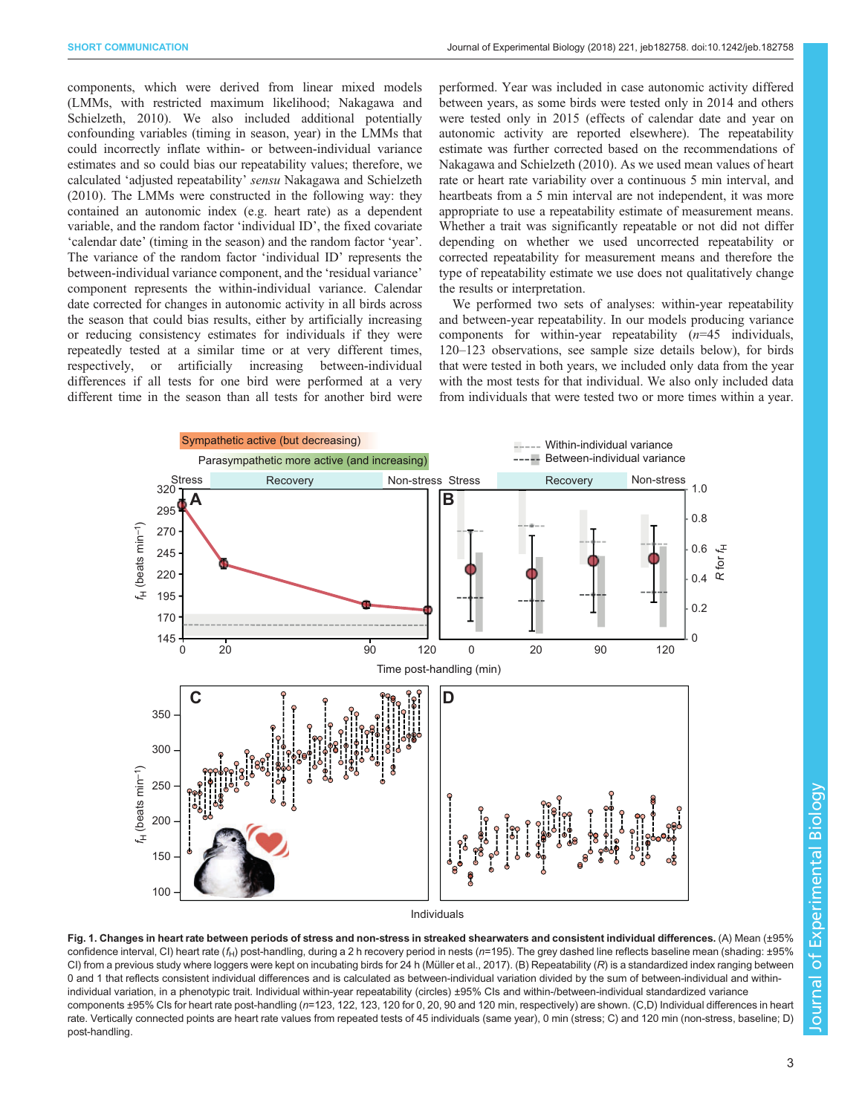<span id="page-2-0"></span>components, which were derived from linear mixed models (LMMs, with restricted maximum likelihood; [Nakagawa and](#page-5-0) [Schielzeth, 2010\)](#page-5-0). We also included additional potentially confounding variables (timing in season, year) in the LMMs that could incorrectly inflate within- or between-individual variance estimates and so could bias our repeatability values; therefore, we calculated 'adjusted repeatability' sensu [Nakagawa and Schielzeth](#page-5-0) [\(2010\)](#page-5-0). The LMMs were constructed in the following way: they contained an autonomic index (e.g. heart rate) as a dependent variable, and the random factor 'individual ID', the fixed covariate 'calendar date' (timing in the season) and the random factor 'year'. The variance of the random factor 'individual ID' represents the between-individual variance component, and the 'residual variance' component represents the within-individual variance. Calendar date corrected for changes in autonomic activity in all birds across the season that could bias results, either by artificially increasing or reducing consistency estimates for individuals if they were repeatedly tested at a similar time or at very different times, respectively, or artificially increasing between-individual differences if all tests for one bird were performed at a very different time in the season than all tests for another bird were

performed. Year was included in case autonomic activity differed between years, as some birds were tested only in 2014 and others were tested only in 2015 (effects of calendar date and year on autonomic activity are reported elsewhere). The repeatability estimate was further corrected based on the recommendations of [Nakagawa and Schielzeth \(2010\)](#page-5-0). As we used mean values of heart rate or heart rate variability over a continuous 5 min interval, and heartbeats from a 5 min interval are not independent, it was more appropriate to use a repeatability estimate of measurement means. Whether a trait was significantly repeatable or not did not differ depending on whether we used uncorrected repeatability or corrected repeatability for measurement means and therefore the type of repeatability estimate we use does not qualitatively change the results or interpretation.

We performed two sets of analyses: within-year repeatability and between-year repeatability. In our models producing variance components for within-year repeatability  $(n=45)$  individuals, 120–123 observations, see sample size details below), for birds that were tested in both years, we included only data from the year with the most tests for that individual. We also only included data from individuals that were tested two or more times within a year.



Fig. 1. Changes in heart rate between periods of stress and non-stress in streaked shearwaters and consistent individual differences. (A) Mean (±95% confidence interval, CI) heart rate ( $f_H$ ) post-handling, during a 2 h recovery period in nests ( $n=195$ ). The grey dashed line reflects baseline mean (shading: ±95% CI) from a previous study where loggers were kept on incubating birds for 24 h (Mü[ller et al., 2017\)](#page-5-0). (B) Repeatability  $(R)$  is a standardized index ranging between 0 and 1 that reflects consistent individual differences and is calculated as between-individual variation divided by the sum of between-individual and withinindividual variation, in a phenotypic trait. Individual within-year repeatability (circles) ±95% CIs and within-/between-individual standardized variance components ±95% CIs for heart rate post-handling (n=123, 122, 123, 120 for 0, 20, 90 and 120 min, respectively) are shown. (C,D) Individual differences in heart rate. Vertically connected points are heart rate values from repeated tests of 45 individuals (same year), 0 min (stress; C) and 120 min (non-stress, baseline; D) post-handling.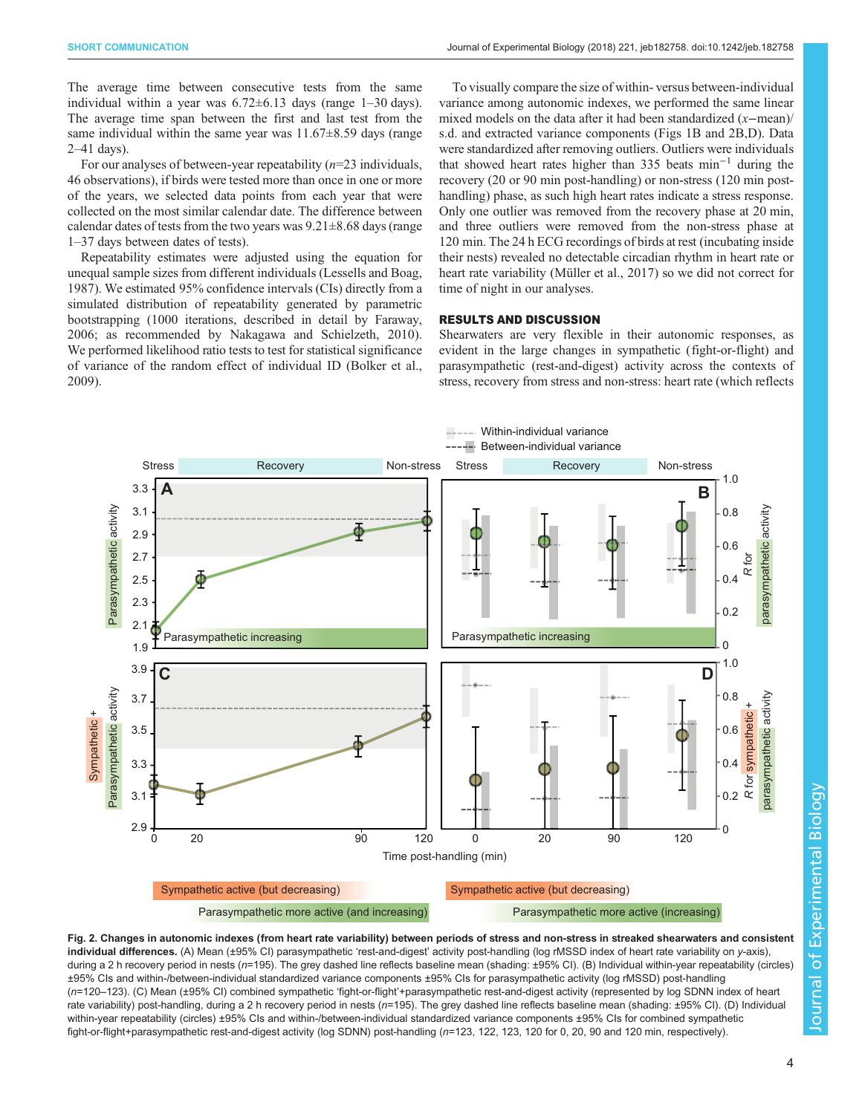<span id="page-3-0"></span>The average time between consecutive tests from the same individual within a year was  $6.72 \pm 6.13$  days (range 1–30 days). The average time span between the first and last test from the same individual within the same year was  $11.67\pm8.59$  days (range 2–41 days).

For our analyses of between-year repeatability  $(n=23 \text{ individuals})$ , 46 observations), if birds were tested more than once in one or more of the years, we selected data points from each year that were collected on the most similar calendar date. The difference between calendar dates of tests from the two years was  $9.21 \pm 8.68$  days (range 1–37 days between dates of tests).

Repeatability estimates were adjusted using the equation for unequal sample sizes from different individuals ([Lessells and Boag,](#page-5-0) [1987](#page-5-0)). We estimated 95% confidence intervals (CIs) directly from a simulated distribution of repeatability generated by parametric bootstrapping (1000 iterations, described in detail by [Faraway,](#page-5-0) [2006](#page-5-0); as recommended by [Nakagawa and Schielzeth, 2010\)](#page-5-0). We performed likelihood ratio tests to test for statistical significance of variance of the random effect of individual ID [\(Bolker et al.,](#page-5-0) [2009](#page-5-0)).

To visually compare the size of within- versus between-individual variance among autonomic indexes, we performed the same linear mixed models on the data after it had been standardized (x−mean)/ s.d. and extracted variance components ([Figs 1B](#page-2-0) and 2B,D). Data were standardized after removing outliers. Outliers were individuals that showed heart rates higher than 335 beats min−<sup>1</sup> during the recovery (20 or 90 min post-handling) or non-stress (120 min posthandling) phase, as such high heart rates indicate a stress response. Only one outlier was removed from the recovery phase at 20 min, and three outliers were removed from the non-stress phase at 120 min. The 24 h ECG recordings of birds at rest (incubating inside their nests) revealed no detectable circadian rhythm in heart rate or heart rate variability [\(Müller et al., 2017\)](#page-5-0) so we did not correct for time of night in our analyses.

## RESULTS AND DISCUSSION

Shearwaters are very flexible in their autonomic responses, as evident in the large changes in sympathetic (fight-or-flight) and parasympathetic (rest-and-digest) activity across the contexts of stress, recovery from stress and non-stress: heart rate (which reflects



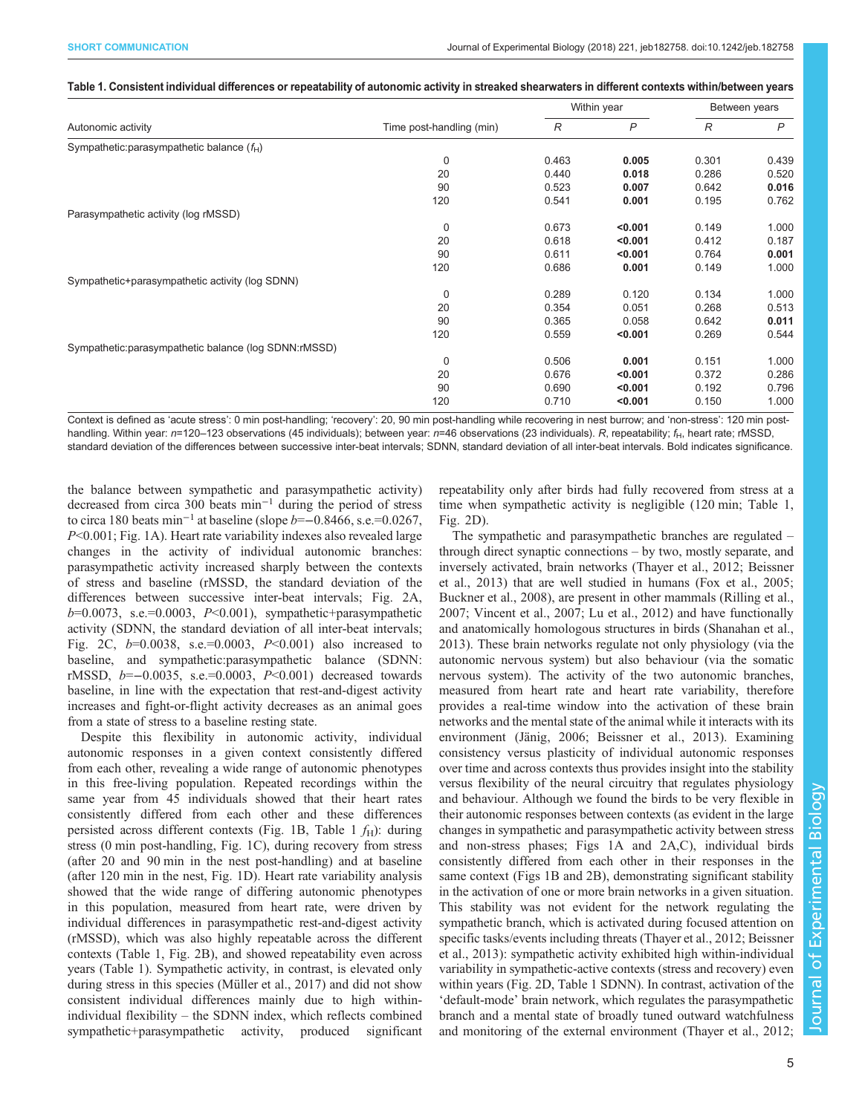<span id="page-4-0"></span>

| Table 1. Consistent individual differences or repeatability of autonomic activity in streaked shearwaters in different contexts within/between years |  |  |
|------------------------------------------------------------------------------------------------------------------------------------------------------|--|--|
|------------------------------------------------------------------------------------------------------------------------------------------------------|--|--|

| Autonomic activity                                   | Time post-handling (min) | Within year   |              | Between years |              |
|------------------------------------------------------|--------------------------|---------------|--------------|---------------|--------------|
|                                                      |                          | $\mathcal{R}$ | $\mathsf{P}$ | $\mathcal{R}$ | $\mathsf{P}$ |
| Sympathetic:parasympathetic balance (fH)             |                          |               |              |               |              |
|                                                      | $\Omega$                 | 0.463         | 0.005        | 0.301         | 0.439        |
|                                                      | 20                       | 0.440         | 0.018        | 0.286         | 0.520        |
|                                                      | 90                       | 0.523         | 0.007        | 0.642         | 0.016        |
|                                                      | 120                      | 0.541         | 0.001        | 0.195         | 0.762        |
| Parasympathetic activity (log rMSSD)                 |                          |               |              |               |              |
|                                                      | 0                        | 0.673         | < 0.001      | 0.149         | 1.000        |
|                                                      | 20                       | 0.618         | < 0.001      | 0.412         | 0.187        |
|                                                      | 90                       | 0.611         | < 0.001      | 0.764         | 0.001        |
|                                                      | 120                      | 0.686         | 0.001        | 0.149         | 1.000        |
| Sympathetic+parasympathetic activity (log SDNN)      |                          |               |              |               |              |
|                                                      | 0                        | 0.289         | 0.120        | 0.134         | 1.000        |
|                                                      | 20                       | 0.354         | 0.051        | 0.268         | 0.513        |
|                                                      | 90                       | 0.365         | 0.058        | 0.642         | 0.011        |
|                                                      | 120                      | 0.559         | < 0.001      | 0.269         | 0.544        |
| Sympathetic:parasympathetic balance (log SDNN:rMSSD) |                          |               |              |               |              |
|                                                      | 0                        | 0.506         | 0.001        | 0.151         | 1.000        |
|                                                      | 20                       | 0.676         | < 0.001      | 0.372         | 0.286        |
|                                                      | 90                       | 0.690         | < 0.001      | 0.192         | 0.796        |
|                                                      | 120                      | 0.710         | < 0.001      | 0.150         | 1.000        |

Context is defined as 'acute stress': 0 min post-handling; 'recovery': 20, 90 min post-handling while recovering in nest burrow; and 'non-stress': 120 min posthandling. Within year: n=120-123 observations (45 individuals); between year: n=46 observations (23 individuals). R, repeatability; f<sub>H</sub>, heart rate; rMSSD, standard deviation of the differences between successive inter-beat intervals; SDNN, standard deviation of all inter-beat intervals. Bold indicates significance.

the balance between sympathetic and parasympathetic activity) decreased from circa 300 beats min−<sup>1</sup> during the period of stress to circa 180 beats min−<sup>1</sup> at baseline (slope b=−0.8466, s.e.=0.0267, P<0.001; [Fig. 1A](#page-2-0)). Heart rate variability indexes also revealed large changes in the activity of individual autonomic branches: parasympathetic activity increased sharply between the contexts of stress and baseline (rMSSD, the standard deviation of the differences between successive inter-beat intervals; [Fig. 2A](#page-3-0),  $b=0.0073$ , s.e.=0.0003,  $P<0.001$ ), sympathetic+parasympathetic activity (SDNN, the standard deviation of all inter-beat intervals; [Fig. 2](#page-3-0)C,  $b=0.0038$ , s.e.=0.0003,  $P<0.001$ ) also increased to baseline, and sympathetic:parasympathetic balance (SDNN: rMSSD, b=−0.0035, s.e.=0.0003, P<0.001) decreased towards baseline, in line with the expectation that rest-and-digest activity increases and fight-or-flight activity decreases as an animal goes from a state of stress to a baseline resting state.

Despite this flexibility in autonomic activity, individual autonomic responses in a given context consistently differed from each other, revealing a wide range of autonomic phenotypes in this free-living population. Repeated recordings within the same year from 45 individuals showed that their heart rates consistently differed from each other and these differences persisted across different contexts [\(Fig. 1B](#page-2-0), Table 1  $f_H$ ): during stress (0 min post-handling, [Fig. 1C](#page-2-0)), during recovery from stress (after 20 and 90 min in the nest post-handling) and at baseline (after 120 min in the nest, [Fig. 1D](#page-2-0)). Heart rate variability analysis showed that the wide range of differing autonomic phenotypes in this population, measured from heart rate, were driven by individual differences in parasympathetic rest-and-digest activity (rMSSD), which was also highly repeatable across the different contexts (Table 1, [Fig. 2](#page-3-0)B), and showed repeatability even across years (Table 1). Sympathetic activity, in contrast, is elevated only during stress in this species ([Müller et al., 2017](#page-5-0)) and did not show consistent individual differences mainly due to high withinindividual flexibility – the SDNN index, which reflects combined sympathetic+parasympathetic activity, produced significant repeatability only after birds had fully recovered from stress at a time when sympathetic activity is negligible (120 min; Table 1, [Fig. 2](#page-3-0)D).

The sympathetic and parasympathetic branches are regulated – through direct synaptic connections – by two, mostly separate, and inversely activated, brain networks [\(Thayer et al., 2012; Beissner](#page-5-0) [et al., 2013\)](#page-5-0) that are well studied in humans [\(Fox et al., 2005](#page-5-0); [Buckner et al., 2008\)](#page-5-0), are present in other mammals [\(Rilling et al.,](#page-5-0) [2007; Vincent et al., 2007; Lu et al., 2012](#page-5-0)) and have functionally and anatomically homologous structures in birds [\(Shanahan et al.,](#page-5-0) [2013\)](#page-5-0). These brain networks regulate not only physiology (via the autonomic nervous system) but also behaviour (via the somatic nervous system). The activity of the two autonomic branches, measured from heart rate and heart rate variability, therefore provides a real-time window into the activation of these brain networks and the mental state of the animal while it interacts with its environment ([Jänig, 2006; Beissner et al., 2013](#page-5-0)). Examining consistency versus plasticity of individual autonomic responses over time and across contexts thus provides insight into the stability versus flexibility of the neural circuitry that regulates physiology and behaviour. Although we found the birds to be very flexible in their autonomic responses between contexts (as evident in the large changes in sympathetic and parasympathetic activity between stress and non-stress phases; [Figs 1](#page-2-0)A and [2A](#page-3-0),C), individual birds consistently differed from each other in their responses in the same context ([Figs 1](#page-2-0)B and [2](#page-3-0)B), demonstrating significant stability in the activation of one or more brain networks in a given situation. This stability was not evident for the network regulating the sympathetic branch, which is activated during focused attention on specific tasks/events including threats ([Thayer et al., 2012; Beissner](#page-5-0) [et al., 2013\)](#page-5-0): sympathetic activity exhibited high within-individual variability in sympathetic-active contexts (stress and recovery) even within years [\(Fig. 2D](#page-3-0), Table 1 SDNN). In contrast, activation of the 'default-mode' brain network, which regulates the parasympathetic branch and a mental state of broadly tuned outward watchfulness and monitoring of the external environment [\(Thayer et al., 2012](#page-5-0);

Journal of Experimental BiologyJournal of Experimental Biology